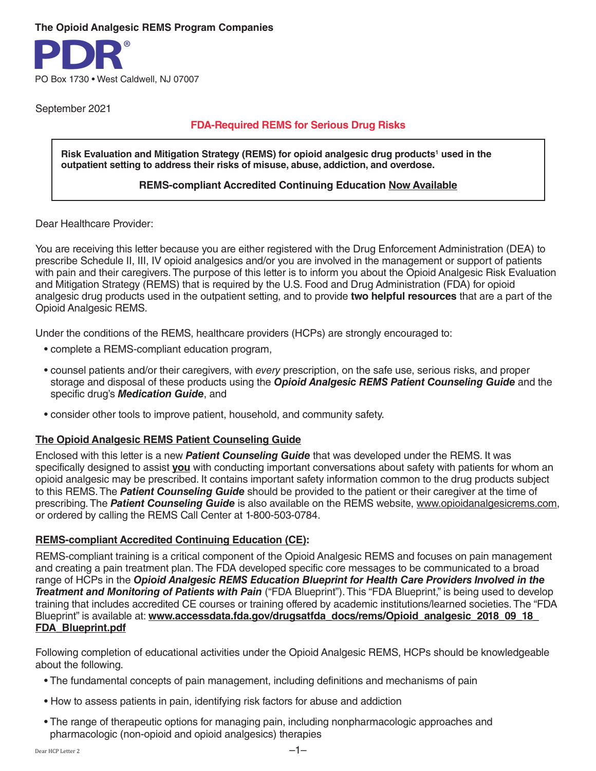#### **The Opioid Analgesic REMS Program Companies**



September 2021

# **FDA-Required REMS for Serious Drug Risks**

Risk Evaluation and Mitigation Strategy (REMS) for opioid analgesic drug products<sup>1</sup> used in the **outpatient setting to address their risks of misuse, abuse, addiction, and overdose.**

#### **REMS-compliant Accredited Continuing Education Now Available**

Dear Healthcare Provider:

You are receiving this letter because you are either registered with the Drug Enforcement Administration (DEA) to prescribe Schedule II, III, IV opioid analgesics and/or you are involved in the management or support of patients with pain and their caregivers. The purpose of this letter is to inform you about the Opioid Analgesic Risk Evaluation and Mitigation Strategy (REMS) that is required by the U.S. Food and Drug Administration (FDA) for opioid analgesic drug products used in the outpatient setting, and to provide **two helpful resources** that are a part of the Opioid Analgesic REMS.

Under the conditions of the REMS, healthcare providers (HCPs) are strongly encouraged to:

- complete a REMS-compliant education program,
- counsel patients and/or their caregivers, with *every* prescription, on the safe use, serious risks, and proper storage and disposal of these products using the *Opioid Analgesic REMS Patient Counseling Guide* and the specific drug's *Medication Guide*, and
- consider other tools to improve patient, household, and community safety.

# **The Opioid Analgesic REMS Patient Counseling Guide**

Enclosed with this letter is a new *Patient Counseling Guide* that was developed under the REMS. It was specifically designed to assist **you** with conducting important conversations about safety with patients for whom an opioid analgesic may be prescribed. It contains important safety information common to the drug products subject to this REMS. The *Patient Counseling Guide* should be provided to the patient or their caregiver at the time of prescribing. The *Patient Counseling Guide* is also available on the REMS website, www.opioidanalgesicrems.com, or ordered by calling the REMS Call Center at 1-800-503-0784.

# **REMS-compliant Accredited Continuing Education (CE):**

REMS-compliant training is a critical component of the Opioid Analgesic REMS and focuses on pain management and creating a pain treatment plan. The FDA developed specific core messages to be communicated to a broad range of HCPs in the *Opioid Analgesic REMS Education Blueprint for Health Care Providers Involved in the Treatment and Monitoring of Patients with Pain* ("FDA Blueprint"). This "FDA Blueprint," is being used to develop training that includes accredited CE courses or training offered by academic institutions/learned societies. The "FDA Blueprint" is available at: **www.accessdata.fda.gov/drugsatfda docs/rems/Opioid analgesic 2018 09 18 FDA\_Blueprint.pdf**

Following completion of educational activities under the Opioid Analgesic REMS, HCPs should be knowledgeable about the following.

- The fundamental concepts of pain management, including definitions and mechanisms of pain
- How to assess patients in pain, identifying risk factors for abuse and addiction
- The range of therapeutic options for managing pain, including nonpharmacologic approaches and pharmacologic (non-opioid and opioid analgesics) therapies